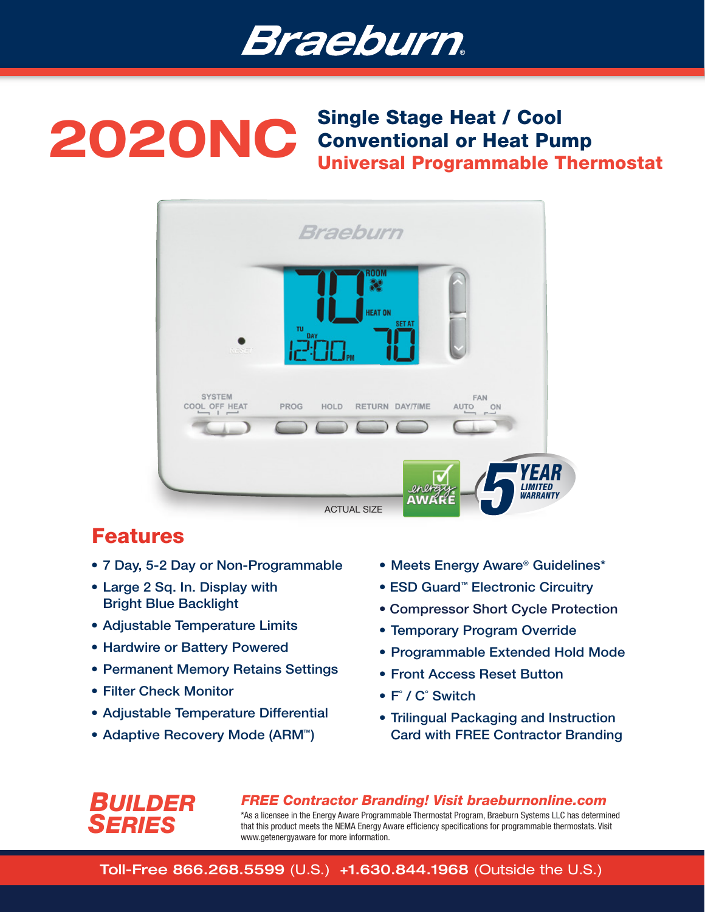

## 2020NC Single Stage Heat / Cool Conventional or Heat Pump Universal Programmable Thermostat



# Features

- 7 Day, 5-2 Day or Non-Programmable
- Large 2 Sq. In. Display with Bright Blue Backlight
- Adjustable Temperature Limits
- Hardwire or Battery Powered
- Permanent Memory Retains Settings
- Filter Check Monitor

*BUILDER*

*SERIES*

- Adjustable Temperature Differential
- Adaptive Recovery Mode (ARM<sup>™</sup>)
- Meets Energy Aware® Guidelines\*
- ESD Guard<sup>™</sup> Electronic Circuitry
- Compressor Short Cycle Protection
- Temporary Program Override
- Programmable Extended Hold Mode
- Front Access Reset Button
- F˚ / C˚ Switch
- Trilingual Packaging and Instruction Card with FREE Contractor Branding

*FREE Contractor Branding! Visit braeburnonline.com* \*As a licensee in the Energy Aware Programmable Thermostat Program, Braeburn Systems LLC has determined that this product meets the NEMA Energy Aware efficiency specifications for programmable thermostats. Visit www.getenergyaware for more information.

Toll-Free 866.268.5599 (U.S.) +1.630.844.1968 (Outside the U.S.)